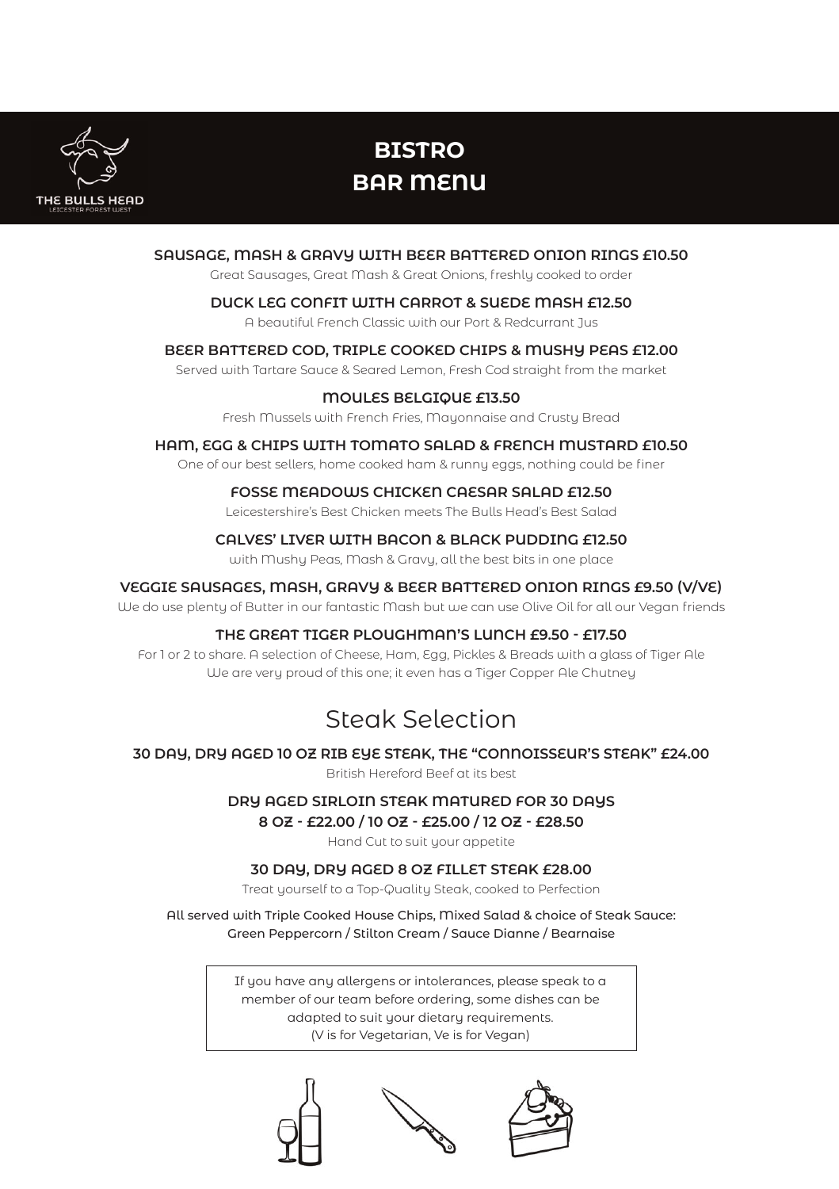

# **BISTRO BAR MENU**

## **SAUSAGE, MASH & GRAVY WITH BEER BATTERED ONION RINGS £10.50** Great Sausages, Great Mash & Great Onions, freshly cooked to order **DUCK LEG CONFIT WITH CARROT & SUEDE MASH £12.50** A beautiful French Classic with our Port & Redcurrant Jus

# **BEER BATTERED COD, TRIPLE COOKED CHIPS & MUSHY PEAS £12.00**

Served with Tartare Sauce & Seared Lemon, Fresh Cod straight from the market

### **MOULES BELGIQUE £13.50**

Fresh Mussels with French Fries, Mayonnaise and Crusty Bread

#### **HAM, EGG & CHIPS WITH TOMATO SALAD & FRENCH MUSTARD £10.50**

One of our best sellers, home cooked ham & runny eggs, nothing could be finer

#### **FOSSE MEADOWS CHICKEN CAESAR SALAD £12.50**

Leicestershire's Best Chicken meets The Bulls Head's Best Salad

#### **CALVES' LIVER WITH BACON & BLACK PUDDING £12.50**

with Mushy Peas, Mash & Gravy, all the best bits in one place

### **VEGGIE SAUSAGES, MASH, GRAVY & BEER BATTERED ONION RINGS £9.50 (V/VE)**

We do use plenty of Butter in our fantastic Mash but we can use Olive Oil for all our Vegan friends

### **THE GREAT TIGER PLOUGHMAN'S LUNCH £9.50 - £17.50**

For 1 or 2 to share. A selection of Cheese, Ham, Egg, Pickles & Breads with a glass of Tiger Ale We are very proud of this one; it even has a Tiger Copper Ale Chutney

# Steak Selection

## **30 DAY, DRY AGED 10 OZ RIB EYE STEAK, THE "CONNOISSEUR'S STEAK" £24.00**

British Hereford Beef at its best

## **DRY AGED SIRLOIN STEAK MATURED FOR 30 DAYS 8 OZ - £22.00 / 10 OZ - £25.00 / 12 OZ - £28.50**

Hand Cut to suit your appetite

### **30 DAY, DRY AGED 8 OZ FILLET STEAK £28.00**

Treat yourself to a Top-Quality Steak, cooked to Perfection

All served with Triple Cooked House Chips, Mixed Salad & choice of Steak Sauce: Green Peppercorn / Stilton Cream / Sauce Dianne / Bearnaise

> If you have any allergens or intolerances, please speak to a member of our team before ordering, some dishes can be adapted to suit your dietary requirements. (V is for Vegetarian, Ve is for Vegan)